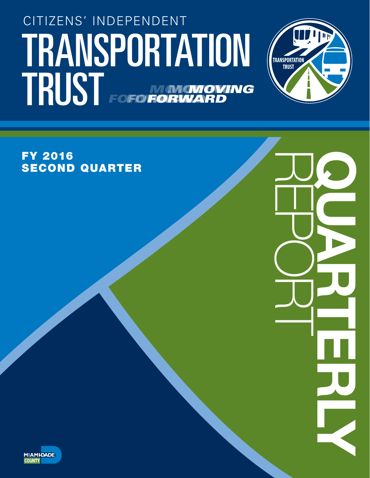# TRANSPORTATION (TRANSPORTATION CITIZENS' INDEPENDENT TRUST FOFO NONGNOVING *FORWARD MOVING* **FORWA** *MOVING* **FOFO FORV**



REPORT QUARTERLY

FY 2016 SECOND QUARTER

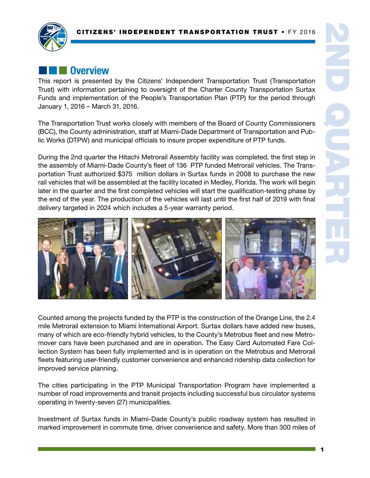

# **External Overview**

This report is presented by the Citizens' Independent Transportation Trust (Transportation Trust) with information pertaining to oversight of the Charter County Transportation Surtax Funds and implementation of the People's Transportation Plan (PTP) for the period through January 1, 2016 – March 31, 2016.

The Transportation Trust works closely with members of the Board of County Commissioners (BCC), the County administration, staff at Miami-Dade Department of Transportation and Public Works (DTPW) and municipal officials to insure proper expenditure of PTP funds.

During the 2nd quarter the Hitachi Metrorail Assembly facility was completed, the first step in the assembly of Miami-Dade County's fleet of 136 PTP funded Metrorail vehicles. The Transportation Trust authorized \$375 million dollars in Surtax funds in 2008 to purchase the new rail vehicles that will be assembled at the facility located in Medley, Florida. The work will begin later in the quarter and the first completed vehicles will start the qualification-testing phase by the end of the year. The production of the vehicles will last until the first half of 2019 with final delivery targeted in 2024 which includes a 5-year warranty period.



Counted among the projects funded by the PTP is the construction of the Orange Line, the 2.4 mile Metrorail extension to Miami International Airport. Surtax dollars have added new buses, many of which are eco-friendly hybrid vehicles, to the County's Metrobus fleet and new Metromover cars have been purchased and are in operation. The Easy Card Automated Fare Collection System has been fully implemented and is in operation on the Metrobus and Metrorail fleets featuring user-friendly customer convenience and enhanced ridership data collection for improved service planning.

The cities participating in the PTP Municipal Transportation Program have implemented a number of road improvements and transit projects including successful bus circulator systems operating in twenty-seven (27) municipalities.

Investment of Surtax funds in Miami-Dade County's public roadway system has resulted in marked improvement in commute time, driver convenience and safety. More than 300 miles of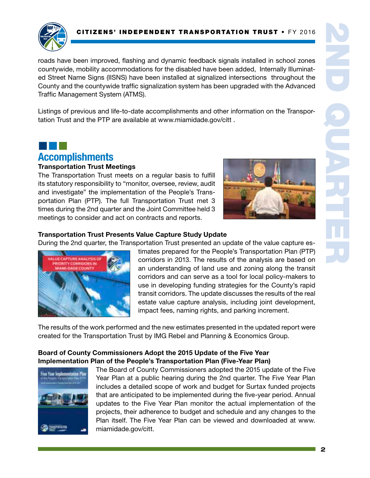

¢¢¢

roads have been improved, flashing and dynamic feedback signals installed in school zones countywide, mobility accommodations for the disabled have been added, Internally Illuminated Street Name Signs (IISNS) have been installed at signalized intersections throughout the County and the countywide traffic signalization system has been upgraded with the Advanced Traffic Management System (ATMS).

Listings of previous and life-to-date accomplishments and other information on the Transportation Trust and the PTP are available at www.miamidade.gov/citt .

# Accomplishments

#### Transportation Trust Meetings

The Transportation Trust meets on a regular basis to fulfill its statutory responsibility to "monitor, oversee, review, audit and investigate" the implementation of the People's Transportation Plan (PTP). The full Transportation Trust met 3 times during the 2nd quarter and the Joint Committee held 3 meetings to consider and act on contracts and reports.



#### Transportation Trust Presents Value Capture Study Update

During the 2nd quarter, the Transportation Trust presented an update of the value capture es-



timates prepared for the People's Transportation Plan (PTP) corridors in 2013. The results of the analysis are based on an understanding of land use and zoning along the transit corridors and can serve as a tool for local policy-makers to use in developing funding strategies for the County's rapid transit corridors. The update discusses the results of the real estate value capture analysis, including joint development, impact fees, naming rights, and parking increment.

The results of the work performed and the new estimates presented in the updated report were created for the Transportation Trust by IMG Rebel and Planning & Economics Group.

#### Board of County Commissioners Adopt the 2015 Update of the Five Year Implementation Plan of the People's Transportation Plan (Five-Year Plan)



The Board of County Commissioners adopted the 2015 update of the Five Year Plan at a public hearing during the 2nd quarter. The Five Year Plan includes a detailed scope of work and budget for Surtax funded projects that are anticipated to be implemented during the five-year period. Annual updates to the Five Year Plan monitor the actual implementation of the projects, their adherence to budget and schedule and any changes to the Plan itself. The Five Year Plan can be viewed and downloaded at www. miamidade.gov/citt.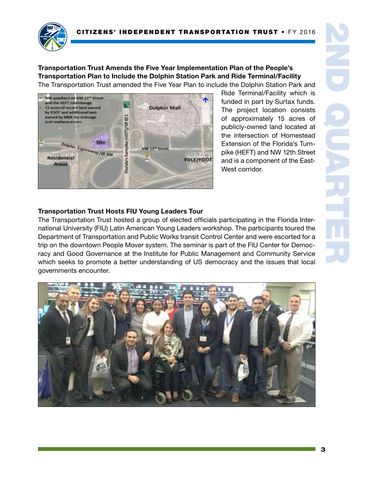

Transportation Trust Amends the Five Year Implementation Plan of the People's Transportation Plan to Include the Dolphin Station Park and Ride Terminal/Facility The Transportation Trust amended the Five Year Plan to include the Dolphin Station Park and



Ride Terminal/Facility which is funded in part by Surtax funds. The project location consists of approximately 15 acres of publicly-owned land located at the intersection of Homestead Extension of the Florida's Turnpike (HEFT) and NW 12th Street and is a component of the East-West corridor.

#### Transportation Trust Hosts FIU Young Leaders Tour

The Transportation Trust hosted a group of elected officials participating in the Florida International University (FIU) Latin American Young Leaders workshop. The participants toured the Department of Transportation and Public Works transit Control Center and were escorted for a trip on the downtown People Mover system. The seminar is part of the FIU Center for Democracy and Good Governance at the Institute for Public Management and Community Service which seeks to promote a better understanding of US democracy and the issues that local governments encounter.

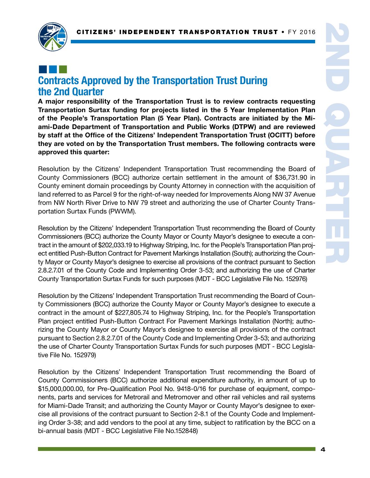

### ¢¢¢ Contracts Approved by the Transportation Trust During the 2nd Quarter

A major responsibility of the Transportation Trust is to review contracts requesting Transportation Surtax funding for projects listed in the 5 Year Implementation Plan of the People's Transportation Plan (5 Year Plan). Contracts are initiated by the Miami-Dade Department of Transportation and Public Works (DTPW) and are reviewed by staff at the Office of the Citizens' Independent Transportation Trust (OCITT) before they are voted on by the Transportation Trust members. The following contracts were approved this quarter:

Resolution by the Citizens' Independent Transportation Trust recommending the Board of County Commissioners (BCC) authorize certain settlement in the amount of \$36,731.90 in County eminent domain proceedings by County Attorney in connection with the acquisition of land referred to as Parcel 9 for the right-of-way needed for Improvements Along NW 37 Avenue from NW North River Drive to NW 79 street and authorizing the use of Charter County Transportation Surtax Funds (PWWM).

Resolution by the Citizens' Independent Transportation Trust recommending the Board of County Commissioners (BCC) authorize the County Mayor or County Mayor's designee to execute a contract in the amount of \$202,033.19 to Highway Striping, Inc. for the People's Transportation Plan project entitled Push-Button Contract for Pavement Markings Installation (South); authorizing the County Mayor or County Mayor's designee to exercise all provisions of the contract pursuant to Section 2.8.2.7.01 of the County Code and Implementing Order 3-53; and authorizing the use of Charter County Transportation Surtax Funds for such purposes (MDT - BCC Legislative File No. 152976)

Resolution by the Citizens' Independent Transportation Trust recommending the Board of County Commissioners (BCC) authorize the County Mayor or County Mayor's designee to execute a contract in the amount of \$227,805.74 to Highway Striping, Inc. for the People's Transportation Plan project entitled Push-Button Contract For Pavement Markings Installation (North); authorizing the County Mayor or County Mayor's designee to exercise all provisions of the contract pursuant to Section 2.8.2.7.01 of the County Code and Implementing Order 3-53; and authorizing the use of Charter County Transportation Surtax Funds for such purposes (MDT - BCC Legislative File No. 152979)

Resolution by the Citizens' Independent Transportation Trust recommending the Board of County Commissioners (BCC) authorize additional expenditure authority, in amount of up to \$15,000,000.00, for Pre-Qualification Pool No. 9418-0/16 for purchase of equipment, components, parts and services for Metrorail and Metromover and other rail vehicles and rail systems for Miami-Dade Transit; and authorizing the County Mayor or County Mayor's designee to exercise all provisions of the contract pursuant to Section 2-8.1 of the County Code and Implementing Order 3-38; and add vendors to the pool at any time, subject to ratification by the BCC on a bi-annual basis (MDT - BCC Legislative File No.152848)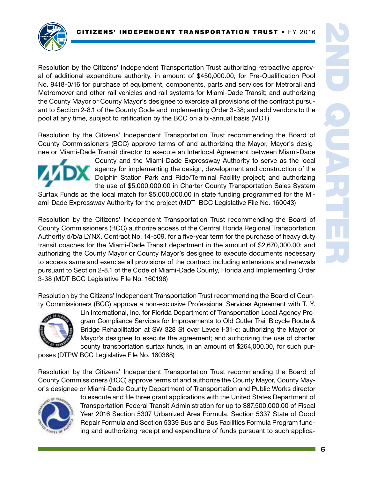

Resolution by the Citizens' Independent Transportation Trust authorizing retroactive approval of additional expenditure authority, in amount of \$450,000.00, for Pre-Qualification Pool No. 9418-0/16 for purchase of equipment, components, parts and services for Metrorail and Metromover and other rail vehicles and rail systems for Miami-Dade Transit; and authorizing the County Mayor or County Mayor's designee to exercise all provisions of the contract pursuant to Section 2-8.1 of the County Code and Implementing Order 3-38; and add vendors to the pool at any time, subject to ratification by the BCC on a bi-annual basis (MDT)

Resolution by the Citizens' Independent Transportation Trust recommending the Board of County Commissioners (BCC) approve terms of and authorizing the Mayor, Mayor's designee or Miami-Dade Transit director to execute an Interlocal Agreement between Miami-Dade



County and the Miami-Dade Expressway Authority to serve as the local agency for implementing the design, development and construction of the Dolphin Station Park and Ride/Terminal Facility project; and authorizing the use of \$5,000,000.00 in Charter County Transportation Sales System

Surtax Funds as the local match for \$5,000,000.00 in state funding programmed for the Miami-Dade Expressway Authority for the project (MDT- BCC Legislative File No. 160043)

Resolution by the Citizens' Independent Transportation Trust recommending the Board of County Commissioners (BCC) authorize access of the Central Florida Regional Transportation Authority d/b/a LYNX, Contract No. 14-c09, for a five-year term for the purchase of heavy duty transit coaches for the Miami-Dade Transit department in the amount of \$2,670,000.00; and authorizing the County Mayor or County Mayor's designee to execute documents necessary to access same and exercise all provisions of the contract including extensions and renewals pursuant to Section 2-8.1 of the Code of Miami-Dade County, Florida and Implementing Order 3-38 (MDT BCC Legislative File No. 160198)

Resolution by the Citizens' Independent Transportation Trust recommending the Board of County Commissioners (BCC) approve a non-exclusive Professional Services Agreement with T. Y.



Lin International, Inc. for Florida Department of Transportation Local Agency Program Compliance Services for Improvements to Old Cutler Trail Bicycle Route & Bridge Rehabilitation at SW 328 St over Levee l-31-e; authorizing the Mayor or Mayor's designee to execute the agreement; and authorizing the use of charter county transportation surtax funds, in an amount of \$264,000.00, for such pur-

poses (DTPW BCC Legislative File No. 160368)

Resolution by the Citizens' Independent Transportation Trust recommending the Board of County Commissioners (BCC) approve terms of and authorize the County Mayor, County Mayor's designee or Miami-Dade County Department of Transportation and Public Works director



to execute and file three grant applications with the United States Department of Transportation Federal Transit Administration for up to \$87,500,000.00 of Fiscal Year 2016 Section 5307 Urbanized Area Formula, Section 5337 State of Good Repair Formula and Section 5339 Bus and Bus Facilities Formula Program funding and authorizing receipt and expenditure of funds pursuant to such applica-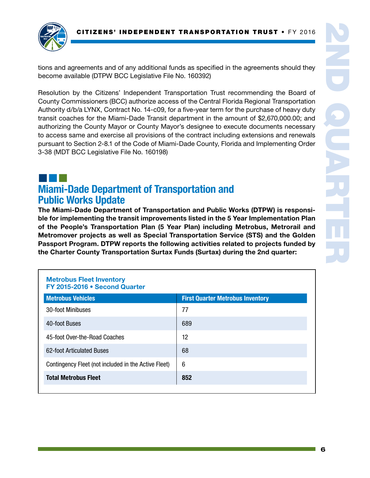

tions and agreements and of any additional funds as specified in the agreements should they become available (DTPW BCC Legislative File No. 160392)

Resolution by the Citizens' Independent Transportation Trust recommending the Board of County Commissioners (BCC) authorize access of the Central Florida Regional Transportation Authority d/b/a LYNX, Contract No. 14-c09, for a five-year term for the purchase of heavy duty transit coaches for the Miami-Dade Transit department in the amount of \$2,670,000.00; and authorizing the County Mayor or County Mayor's designee to execute documents necessary to access same and exercise all provisions of the contract including extensions and renewals pursuant to Section 2-8.1 of the Code of Miami-Dade County, Florida and Implementing Order 3-38 (MDT BCC Legislative File No. 160198)

### ¢¢¢ Miami-Dade Department of Transportation and Public Works Update

The Miami-Dade Department of Transportation and Public Works (DTPW) is responsible for implementing the transit improvements listed in the 5 Year Implementation Plan of the People's Transportation Plan (5 Year Plan) including Metrobus, Metrorail and Metromover projects as well as Special Transportation Service (STS) and the Golden Passport Program. DTPW reports the following activities related to projects funded by the Charter County Transportation Surtax Funds (Surtax) during the 2nd quarter:

#### Metrobus Fleet Inventory FY 2015-2016 • Second Quarter

| <b>Metrobus Vehicles</b>                             | <b>First Quarter Metrobus Inventory</b> |
|------------------------------------------------------|-----------------------------------------|
| 30-foot Minibuses                                    | 77                                      |
| 40-foot Buses                                        | 689                                     |
| 45-foot Over-the-Road Coaches                        | 12                                      |
| 62-foot Articulated Buses                            | 68                                      |
| Contingency Fleet (not included in the Active Fleet) | 6                                       |
| <b>Total Metrobus Fleet</b>                          | 852                                     |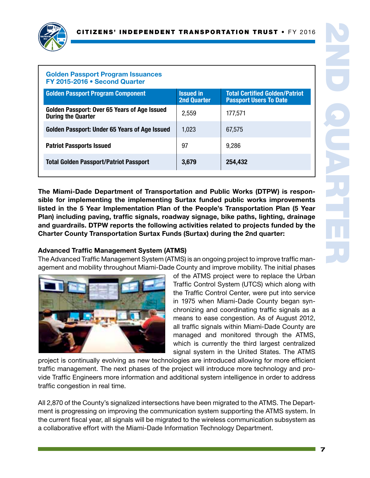

#### Golden Passport Program Issuances FY 2015-2016 • Second Quarter

| <b>Golden Passport Program Component</b>                                  | <b>Issued in</b><br><b>2nd Quarter</b> | <b>Total Certified Golden/Patriot</b><br><b>Passport Users To Date</b> |
|---------------------------------------------------------------------------|----------------------------------------|------------------------------------------------------------------------|
| Golden Passport: Over 65 Years of Age Issued<br><b>During the Quarter</b> | 2,559                                  | 177,571                                                                |
| Golden Passport: Under 65 Years of Age Issued                             | 1,023                                  | 67,575                                                                 |
| <b>Patriot Passports Issued</b>                                           | 97                                     | 9,286                                                                  |
| <b>Total Golden Passport/Patriot Passport</b>                             | 3,679                                  | 254,432                                                                |
|                                                                           |                                        |                                                                        |

The Miami-Dade Department of Transportation and Public Works (DTPW) is responsible for implementing the implementing Surtax funded public works improvements listed in the 5 Year Implementation Plan of the People's Transportation Plan (5 Year Plan) including paving, traffic signals, roadway signage, bike paths, lighting, drainage and guardrails. DTPW reports the following activities related to projects funded by the Charter County Transportation Surtax Funds (Surtax) during the 2nd quarter:

#### Advanced Traffic Management System (ATMS)

The Advanced Traffic Management System (ATMS) is an ongoing project to improve traffic management and mobility throughout Miami-Dade County and improve mobility. The initial phases



of the ATMS project were to replace the Urban Traffic Control System (UTCS) which along with the Traffic Control Center, were put into service in 1975 when Miami-Dade County began synchronizing and coordinating traffic signals as a means to ease congestion. As of August 2012, all traffic signals within Miami-Dade County are managed and monitored through the ATMS, which is currently the third largest centralized signal system in the United States. The ATMS

project is continually evolving as new technologies are introduced allowing for more efficient traffic management. The next phases of the project will introduce more technology and provide Traffic Engineers more information and additional system intelligence in order to address traffic congestion in real time.

All 2,870 of the County's signalized intersections have been migrated to the ATMS. The Department is progressing on improving the communication system supporting the ATMS system. In the current fiscal year, all signals will be migrated to the wireless communication subsystem as a collaborative effort with the Miami-Dade Information Technology Department.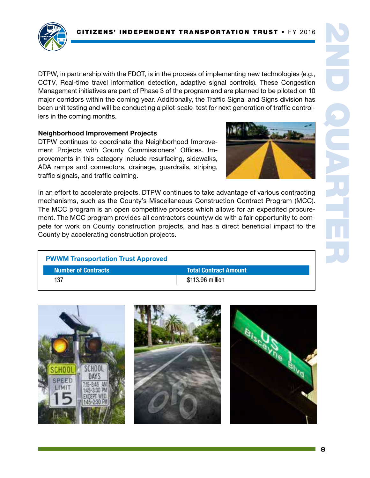

DTPW, in partnership with the FDOT, is in the process of implementing new technologies (e.g., CCTV, Real-time travel information detection, adaptive signal controls). These Congestion Management initiatives are part of Phase 3 of the program and are planned to be piloted on 10 major corridors within the coming year. Additionally, the Traffic Signal and Signs division has been unit testing and will be conducting a pilot-scale test for next generation of traffic controllers in the coming months.

#### Neighborhood Improvement Projects

DTPW continues to coordinate the Neighborhood Improvement Projects with County Commissioners' Offices. Improvements in this category include resurfacing, sidewalks, ADA ramps and connectors, drainage, guardrails, striping, traffic signals, and traffic calming.

In an effort to accelerate projects, DTPW continues to take advantage of various contracting mechanisms, such as the County's Miscellaneous Construction Contract Program (MCC). The MCC program is an open competitive process which allows for an expedited procurement. The MCC program provides all contractors countywide with a fair opportunity to compete for work on County construction projects, and has a direct beneficial impact to the County by accelerating construction projects.

| <b>PWWM Transportation Trust Approved</b> |                                |  |  |
|-------------------------------------------|--------------------------------|--|--|
| <b>Number of Contracts</b>                | <b>Total Contract Amount \</b> |  |  |
| 137                                       | \$113.96 million               |  |  |

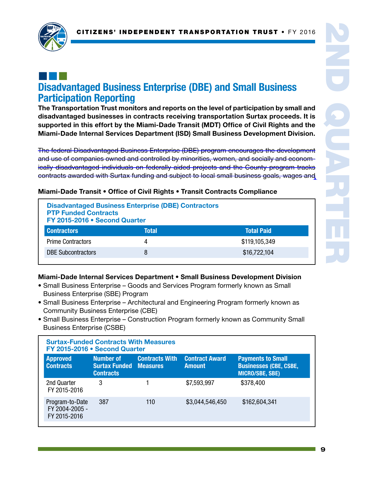

### ¢¢¢ Disadvantaged Business Enterprise (DBE) and Small Business Participation Reporting

The Transportation Trust monitors and reports on the level of participation by small and disadvantaged businesses in contracts receiving transportation Surtax proceeds. It is supported in this effort by the Miami-Dade Transit (MDT) Office of Civil Rights and the Miami-Dade Internal Services Department (ISD) Small Business Development Division.

The federal Disadvantaged Business Enterprise (DBE) program encourages the development and use of companies owned and controlled by minorities, women, and socially and economically disadvantaged individuals on federally-aided projects and the County program tracks contracts awarded with Surtax funding and subject to local small business goals, wages and

| <b>Disadvantaged Business Enterprise (DBE) Contractors</b><br><b>PTP Funded Contracts</b><br>FY 2015-2016 . Second Quarter |       |                   |  |
|----------------------------------------------------------------------------------------------------------------------------|-------|-------------------|--|
| <b>Contractors</b>                                                                                                         | Total | <b>Total Paid</b> |  |
| <b>Prime Contractors</b>                                                                                                   |       | \$119,105,349     |  |
| <b>DBE Subcontractors</b>                                                                                                  |       | \$16,722,104      |  |

#### Miami-Dade Transit • Office of Civil Rights • Transit Contracts Compliance

#### Miami-Dade Internal Services Department • Small Business Development Division

- Small Business Enterprise Goods and Services Program formerly known as Small Business Enterprise (SBE) Program
- Small Business Enterprise Architectural and Engineering Program formerly known as Community Business Enterprise (CBE)
- Small Business Enterprise Construction Program formerly known as Community Small Business Enterprise (CSBE)

| <b>Surtax-Funded Contracts With Measures</b><br>FY 2015-2016 . Second Quarter |                                                                       |                       |                                        |                                                                                     |  |
|-------------------------------------------------------------------------------|-----------------------------------------------------------------------|-----------------------|----------------------------------------|-------------------------------------------------------------------------------------|--|
| <b>Approved</b><br><b>Contracts</b>                                           | <b>Number of</b><br><b>Surtax Funded Measures</b><br><b>Contracts</b> | <b>Contracts With</b> | <b>Contract Award</b><br><b>Amount</b> | <b>Payments to Small</b><br><b>Businesses (CBE, CSBE,</b><br><b>MICRO/SBE, SBE)</b> |  |
| 2nd Quarter<br>FY 2015-2016                                                   | 3                                                                     |                       | \$7,593,997                            | \$378,400                                                                           |  |
| Program-to-Date<br>FY 2004-2005 -<br>FY 2015-2016                             | 387                                                                   | 110                   | \$3,044,546,450                        | \$162,604,341                                                                       |  |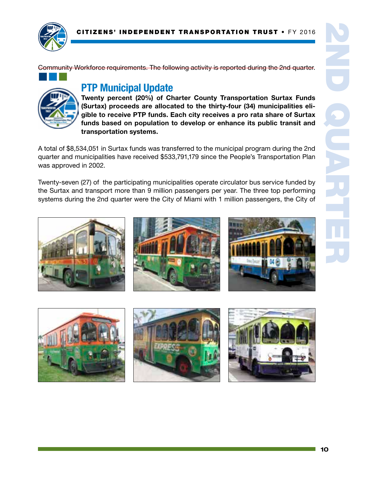

¢¢¢

Community Workforce requirements. The following activity is reported during the 2nd quarter.

# PTP Municipal Update



Twenty percent (20%) of Charter County Transportation Surtax Funds (Surtax) proceeds are allocated to the thirty-four (34) municipalities eligible to receive PTP funds. Each city receives a pro rata share of Surtax funds based on population to develop or enhance its public transit and transportation systems.

A total of \$8,534,051 in Surtax funds was transferred to the municipal program during the 2nd quarter and municipalities have received \$533,791,179 since the People's Transportation Plan was approved in 2002.

Twenty-seven (27) of the participating municipalities operate circulator bus service funded by the Surtax and transport more than 9 million passengers per year. The three top performing systems during the 2nd quarter were the City of Miami with 1 million passengers, the City of







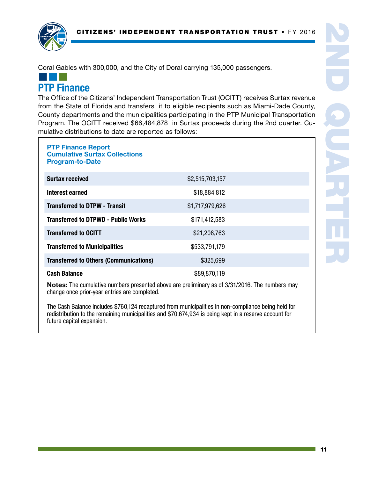

Coral Gables with 300,000, and the City of Doral carrying 135,000 passengers.

### ¢¢¢ PTP Finance

The Office of the Citizens' Independent Transportation Trust (OCITT) receives Surtax revenue from the State of Florida and transfers it to eligible recipients such as Miami-Dade County, County departments and the municipalities participating in the PTP Municipal Transportation Program. The OCITT received \$66,484,878 in Surtax proceeds during the 2nd quarter. Cumulative distributions to date are reported as follows:

| <b>PTP Finance Report</b><br><b>Cumulative Surtax Collections</b><br><b>Program-to-Date</b> |                 |  |
|---------------------------------------------------------------------------------------------|-----------------|--|
| <b>Surtax received</b>                                                                      | \$2,515,703,157 |  |
| Interest earned                                                                             | \$18,884,812    |  |
| <b>Transferred to DTPW - Transit</b>                                                        | \$1,717,979,626 |  |
| <b>Transferred to DTPWD - Public Works</b>                                                  | \$171,412,583   |  |
| <b>Transferred to OCITT</b>                                                                 | \$21,208,763    |  |
| <b>Transferred to Municipalities</b>                                                        | \$533,791,179   |  |
| <b>Transferred to Others (Communications)</b>                                               | \$325,699       |  |
| <b>Cash Balance</b>                                                                         | \$89,870,119    |  |

Notes: The cumulative numbers presented above are preliminary as of 3/31/2016. The numbers may change once prior-year entries are completed.

The Cash Balance includes \$760,124 recaptured from municipalities in non-compliance being held for redistribution to the remaining municipalities and \$70,674,934 is being kept in a reserve account for future capital expansion.